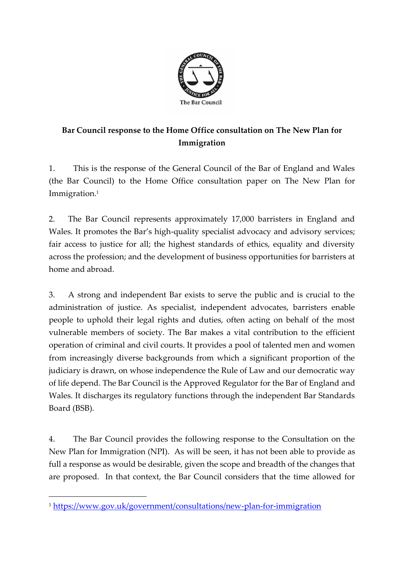

# **Bar Council response to the Home Office consultation on The New Plan for Immigration**

1. This is the response of the General Council of the Bar of England and Wales (the Bar Council) to the Home Office consultation paper on The New Plan for Immigration. 1

2. The Bar Council represents approximately 17,000 barristers in England and Wales. It promotes the Bar's high-quality specialist advocacy and advisory services; fair access to justice for all; the highest standards of ethics, equality and diversity across the profession; and the development of business opportunities for barristers at home and abroad.

3. A strong and independent Bar exists to serve the public and is crucial to the administration of justice. As specialist, independent advocates, barristers enable people to uphold their legal rights and duties, often acting on behalf of the most vulnerable members of society. The Bar makes a vital contribution to the efficient operation of criminal and civil courts. It provides a pool of talented men and women from increasingly diverse backgrounds from which a significant proportion of the judiciary is drawn, on whose independence the Rule of Law and our democratic way of life depend. The Bar Council is the Approved Regulator for the Bar of England and Wales. It discharges its regulatory functions through the independent Bar Standards Board (BSB).

4. The Bar Council provides the following response to the Consultation on the New Plan for Immigration (NPI). As will be seen, it has not been able to provide as full a response as would be desirable, given the scope and breadth of the changes that are proposed. In that context, the Bar Council considers that the time allowed for

<sup>1</sup> <https://www.gov.uk/government/consultations/new-plan-for-immigration>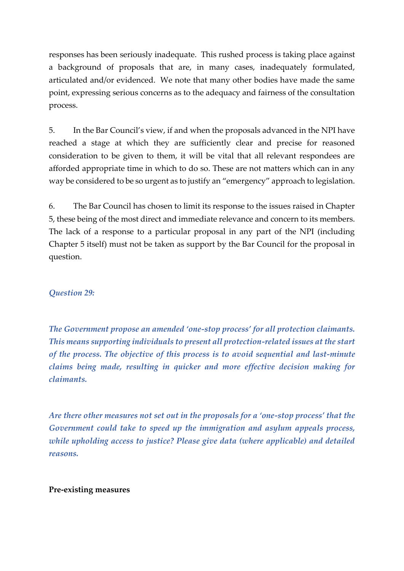responses has been seriously inadequate. This rushed process is taking place against a background of proposals that are, in many cases, inadequately formulated, articulated and/or evidenced. We note that many other bodies have made the same point, expressing serious concerns as to the adequacy and fairness of the consultation process.

5. In the Bar Council's view, if and when the proposals advanced in the NPI have reached a stage at which they are sufficiently clear and precise for reasoned consideration to be given to them, it will be vital that all relevant respondees are afforded appropriate time in which to do so. These are not matters which can in any way be considered to be so urgent as to justify an "emergency" approach to legislation.

6. The Bar Council has chosen to limit its response to the issues raised in Chapter 5, these being of the most direct and immediate relevance and concern to its members. The lack of a response to a particular proposal in any part of the NPI (including Chapter 5 itself) must not be taken as support by the Bar Council for the proposal in question.

### *Question 29:*

*The Government propose an amended 'one-stop process' for all protection claimants. This means supporting individuals to present all protection-related issues at the start of the process. The objective of this process is to avoid sequential and last-minute claims being made, resulting in quicker and more effective decision making for claimants.*

*Are there other measures not set out in the proposals for a 'one-stop process' that the Government could take to speed up the immigration and asylum appeals process, while upholding access to justice? Please give data (where applicable) and detailed reasons.*

#### **Pre-existing measures**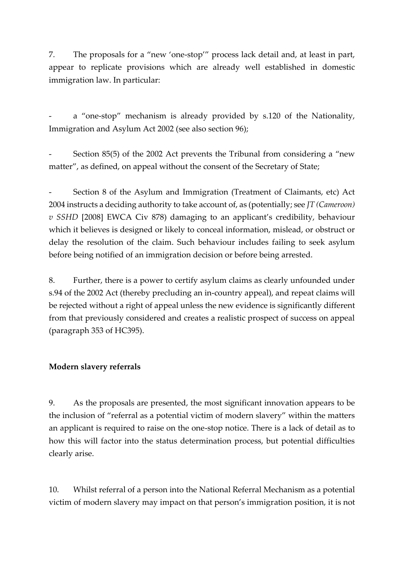7. The proposals for a "new 'one-stop'" process lack detail and, at least in part, appear to replicate provisions which are already well established in domestic immigration law. In particular:

a "one-stop" mechanism is already provided by s.120 of the Nationality, Immigration and Asylum Act 2002 (see also section 96);

Section 85(5) of the 2002 Act prevents the Tribunal from considering a "new matter", as defined, on appeal without the consent of the Secretary of State;

Section 8 of the Asylum and Immigration (Treatment of Claimants, etc) Act 2004 instructs a deciding authority to take account of, as (potentially; see *JT (Cameroon) v SSHD* [2008] EWCA Civ 878) damaging to an applicant's credibility, behaviour which it believes is designed or likely to conceal information, mislead, or obstruct or delay the resolution of the claim. Such behaviour includes failing to seek asylum before being notified of an immigration decision or before being arrested.

8. Further, there is a power to certify asylum claims as clearly unfounded under s.94 of the 2002 Act (thereby precluding an in-country appeal), and repeat claims will be rejected without a right of appeal unless the new evidence is significantly different from that previously considered and creates a realistic prospect of success on appeal (paragraph 353 of HC395).

### **Modern slavery referrals**

9. As the proposals are presented, the most significant innovation appears to be the inclusion of "referral as a potential victim of modern slavery" within the matters an applicant is required to raise on the one-stop notice. There is a lack of detail as to how this will factor into the status determination process, but potential difficulties clearly arise.

10. Whilst referral of a person into the National Referral Mechanism as a potential victim of modern slavery may impact on that person's immigration position, it is not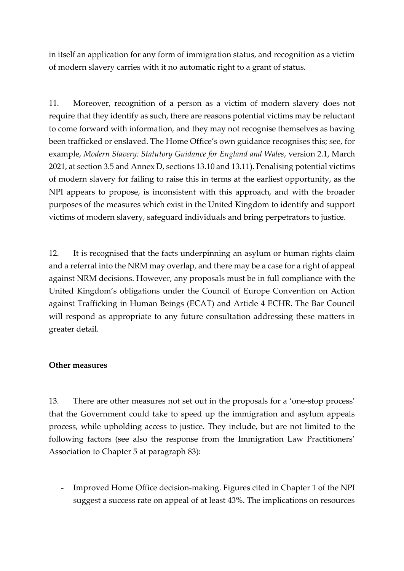in itself an application for any form of immigration status, and recognition as a victim of modern slavery carries with it no automatic right to a grant of status.

11. Moreover, recognition of a person as a victim of modern slavery does not require that they identify as such, there are reasons potential victims may be reluctant to come forward with information, and they may not recognise themselves as having been trafficked or enslaved. The Home Office's own guidance recognises this; see, for example, *Modern Slavery: Statutory Guidance for England and Wales*, version 2.1, March 2021, at section 3.5 and Annex D, sections 13.10 and 13.11). Penalising potential victims of modern slavery for failing to raise this in terms at the earliest opportunity, as the NPI appears to propose, is inconsistent with this approach, and with the broader purposes of the measures which exist in the United Kingdom to identify and support victims of modern slavery, safeguard individuals and bring perpetrators to justice.

12. It is recognised that the facts underpinning an asylum or human rights claim and a referral into the NRM may overlap, and there may be a case for a right of appeal against NRM decisions. However, any proposals must be in full compliance with the United Kingdom's obligations under the Council of Europe Convention on Action against Trafficking in Human Beings (ECAT) and Article 4 ECHR. The Bar Council will respond as appropriate to any future consultation addressing these matters in greater detail.

#### **Other measures**

13. There are other measures not set out in the proposals for a 'one-stop process' that the Government could take to speed up the immigration and asylum appeals process, while upholding access to justice. They include, but are not limited to the following factors (see also the response from the Immigration Law Practitioners' Association to Chapter 5 at paragraph 83):

- Improved Home Office decision-making. Figures cited in Chapter 1 of the NPI suggest a success rate on appeal of at least 43%. The implications on resources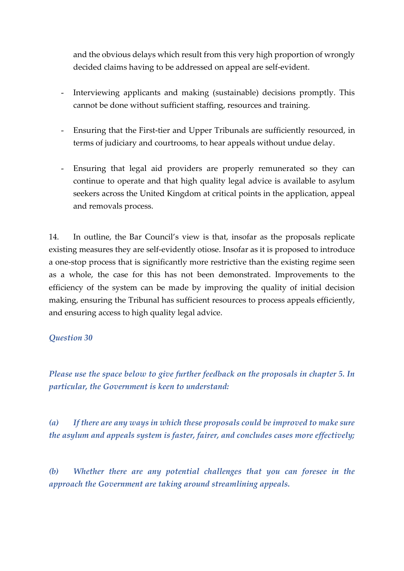and the obvious delays which result from this very high proportion of wrongly decided claims having to be addressed on appeal are self-evident.

- Interviewing applicants and making (sustainable) decisions promptly. This cannot be done without sufficient staffing, resources and training.
- Ensuring that the First-tier and Upper Tribunals are sufficiently resourced, in terms of judiciary and courtrooms, to hear appeals without undue delay.
- Ensuring that legal aid providers are properly remunerated so they can continue to operate and that high quality legal advice is available to asylum seekers across the United Kingdom at critical points in the application, appeal and removals process.

14. In outline, the Bar Council's view is that, insofar as the proposals replicate existing measures they are self-evidently otiose. Insofar as it is proposed to introduce a one-stop process that is significantly more restrictive than the existing regime seen as a whole, the case for this has not been demonstrated. Improvements to the efficiency of the system can be made by improving the quality of initial decision making, ensuring the Tribunal has sufficient resources to process appeals efficiently, and ensuring access to high quality legal advice.

### *Question 30*

*Please use the space below to give further feedback on the proposals in chapter 5. In particular, the Government is keen to understand:*

*(a) If there are any ways in which these proposals could be improved to make sure the asylum and appeals system is faster, fairer, and concludes cases more effectively;*

*(b) Whether there are any potential challenges that you can foresee in the approach the Government are taking around streamlining appeals.*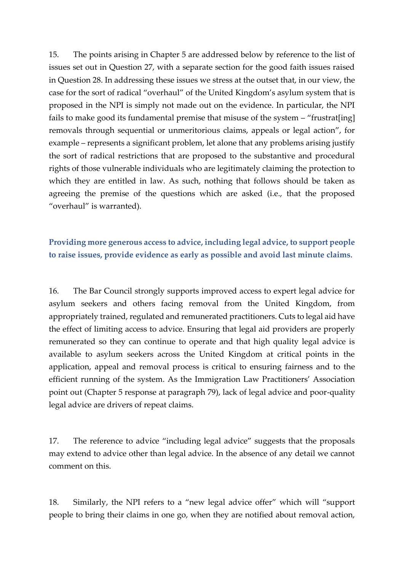15. The points arising in Chapter 5 are addressed below by reference to the list of issues set out in Question 27, with a separate section for the good faith issues raised in Question 28. In addressing these issues we stress at the outset that, in our view, the case for the sort of radical "overhaul" of the United Kingdom's asylum system that is proposed in the NPI is simply not made out on the evidence. In particular, the NPI fails to make good its fundamental premise that misuse of the system – "frustrat[ing] removals through sequential or unmeritorious claims, appeals or legal action", for example – represents a significant problem, let alone that any problems arising justify the sort of radical restrictions that are proposed to the substantive and procedural rights of those vulnerable individuals who are legitimately claiming the protection to which they are entitled in law. As such, nothing that follows should be taken as agreeing the premise of the questions which are asked (i.e., that the proposed "overhaul" is warranted).

## **Providing more generous access to advice, including legal advice, to support people to raise issues, provide evidence as early as possible and avoid last minute claims**.

16. The Bar Council strongly supports improved access to expert legal advice for asylum seekers and others facing removal from the United Kingdom, from appropriately trained, regulated and remunerated practitioners. Cuts to legal aid have the effect of limiting access to advice. Ensuring that legal aid providers are properly remunerated so they can continue to operate and that high quality legal advice is available to asylum seekers across the United Kingdom at critical points in the application, appeal and removal process is critical to ensuring fairness and to the efficient running of the system. As the Immigration Law Practitioners' Association point out (Chapter 5 response at paragraph 79), lack of legal advice and poor-quality legal advice are drivers of repeat claims.

17. The reference to advice "including legal advice" suggests that the proposals may extend to advice other than legal advice. In the absence of any detail we cannot comment on this.

18. Similarly, the NPI refers to a "new legal advice offer" which will "support people to bring their claims in one go, when they are notified about removal action,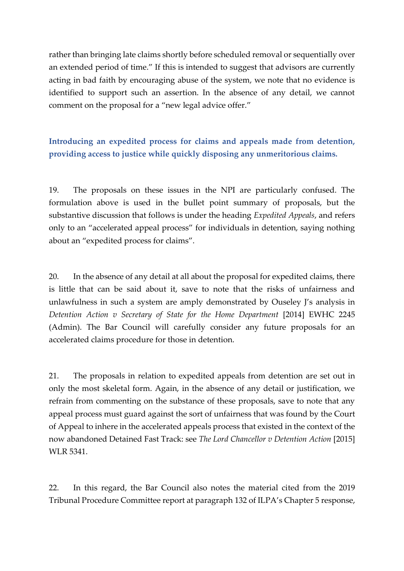rather than bringing late claims shortly before scheduled removal or sequentially over an extended period of time." If this is intended to suggest that advisors are currently acting in bad faith by encouraging abuse of the system, we note that no evidence is identified to support such an assertion. In the absence of any detail, we cannot comment on the proposal for a "new legal advice offer."

**Introducing an expedited process for claims and appeals made from detention, providing access to justice while quickly disposing any unmeritorious claims.**

19. The proposals on these issues in the NPI are particularly confused. The formulation above is used in the bullet point summary of proposals, but the substantive discussion that follows is under the heading *Expedited Appeals*, and refers only to an "accelerated appeal process" for individuals in detention, saying nothing about an "expedited process for claims".

20. In the absence of any detail at all about the proposal for expedited claims, there is little that can be said about it, save to note that the risks of unfairness and unlawfulness in such a system are amply demonstrated by Ouseley J's analysis in *Detention Action v Secretary of State for the Home Department* [2014] EWHC 2245 (Admin). The Bar Council will carefully consider any future proposals for an accelerated claims procedure for those in detention.

21. The proposals in relation to expedited appeals from detention are set out in only the most skeletal form. Again, in the absence of any detail or justification, we refrain from commenting on the substance of these proposals, save to note that any appeal process must guard against the sort of unfairness that was found by the Court of Appeal to inhere in the accelerated appeals process that existed in the context of the now abandoned Detained Fast Track: see *The Lord Chancellor v Detention Action* [2015] WLR 5341.

22. In this regard, the Bar Council also notes the material cited from the 2019 Tribunal Procedure Committee report at paragraph 132 of ILPA's Chapter 5 response,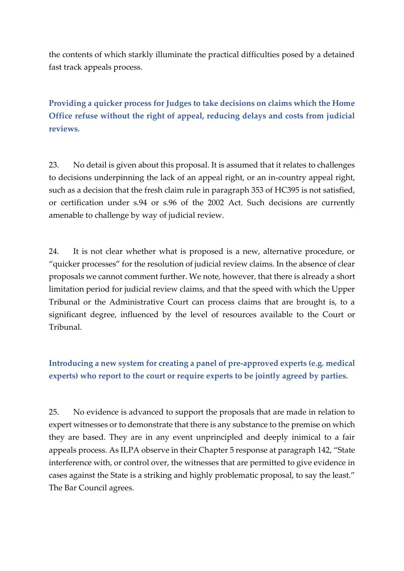the contents of which starkly illuminate the practical difficulties posed by a detained fast track appeals process.

**Providing a quicker process for Judges to take decisions on claims which the Home Office refuse without the right of appeal, reducing delays and costs from judicial reviews.**

23. No detail is given about this proposal. It is assumed that it relates to challenges to decisions underpinning the lack of an appeal right, or an in-country appeal right, such as a decision that the fresh claim rule in paragraph 353 of HC395 is not satisfied, or certification under s.94 or s.96 of the 2002 Act. Such decisions are currently amenable to challenge by way of judicial review.

24. It is not clear whether what is proposed is a new, alternative procedure, or "quicker processes" for the resolution of judicial review claims. In the absence of clear proposals we cannot comment further. We note, however, that there is already a short limitation period for judicial review claims, and that the speed with which the Upper Tribunal or the Administrative Court can process claims that are brought is, to a significant degree, influenced by the level of resources available to the Court or Tribunal.

# **Introducing a new system for creating a panel of pre-approved experts (e.g. medical experts) who report to the court or require experts to be jointly agreed by parties.**

25. No evidence is advanced to support the proposals that are made in relation to expert witnesses or to demonstrate that there is any substance to the premise on which they are based. They are in any event unprincipled and deeply inimical to a fair appeals process. As ILPA observe in their Chapter 5 response at paragraph 142, "State interference with, or control over, the witnesses that are permitted to give evidence in cases against the State is a striking and highly problematic proposal, to say the least." The Bar Council agrees.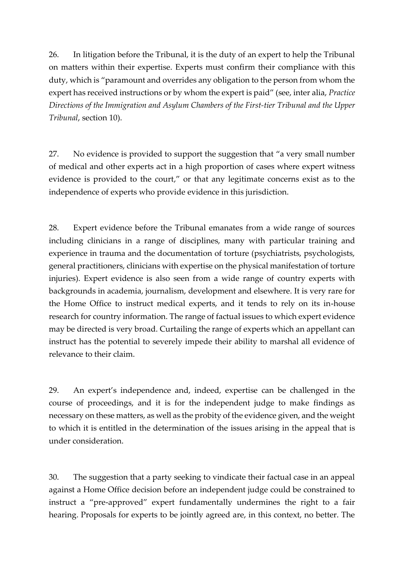26. In litigation before the Tribunal, it is the duty of an expert to help the Tribunal on matters within their expertise. Experts must confirm their compliance with this duty, which is "paramount and overrides any obligation to the person from whom the expert has received instructions or by whom the expert is paid" (see, inter alia, *Practice Directions of the Immigration and Asylum Chambers of the First-tier Tribunal and the Upper Tribunal*, section 10).

27. No evidence is provided to support the suggestion that "a very small number of medical and other experts act in a high proportion of cases where expert witness evidence is provided to the court," or that any legitimate concerns exist as to the independence of experts who provide evidence in this jurisdiction.

28. Expert evidence before the Tribunal emanates from a wide range of sources including clinicians in a range of disciplines, many with particular training and experience in trauma and the documentation of torture (psychiatrists, psychologists, general practitioners, clinicians with expertise on the physical manifestation of torture injuries). Expert evidence is also seen from a wide range of country experts with backgrounds in academia, journalism, development and elsewhere. It is very rare for the Home Office to instruct medical experts, and it tends to rely on its in-house research for country information. The range of factual issues to which expert evidence may be directed is very broad. Curtailing the range of experts which an appellant can instruct has the potential to severely impede their ability to marshal all evidence of relevance to their claim.

29. An expert's independence and, indeed, expertise can be challenged in the course of proceedings, and it is for the independent judge to make findings as necessary on these matters, as well as the probity of the evidence given, and the weight to which it is entitled in the determination of the issues arising in the appeal that is under consideration.

30. The suggestion that a party seeking to vindicate their factual case in an appeal against a Home Office decision before an independent judge could be constrained to instruct a "pre-approved" expert fundamentally undermines the right to a fair hearing. Proposals for experts to be jointly agreed are, in this context, no better. The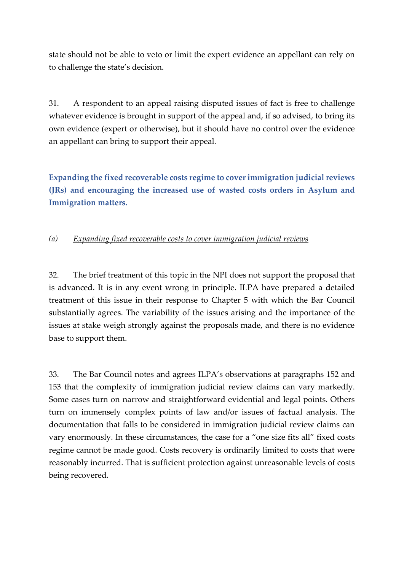state should not be able to veto or limit the expert evidence an appellant can rely on to challenge the state's decision.

31. A respondent to an appeal raising disputed issues of fact is free to challenge whatever evidence is brought in support of the appeal and, if so advised, to bring its own evidence (expert or otherwise), but it should have no control over the evidence an appellant can bring to support their appeal.

**Expanding the fixed recoverable costs regime to cover immigration judicial reviews (JRs) and encouraging the increased use of wasted costs orders in Asylum and Immigration matters.**

## *(a) Expanding fixed recoverable costs to cover immigration judicial reviews*

32. The brief treatment of this topic in the NPI does not support the proposal that is advanced. It is in any event wrong in principle. ILPA have prepared a detailed treatment of this issue in their response to Chapter 5 with which the Bar Council substantially agrees. The variability of the issues arising and the importance of the issues at stake weigh strongly against the proposals made, and there is no evidence base to support them.

33. The Bar Council notes and agrees ILPA's observations at paragraphs 152 and 153 that the complexity of immigration judicial review claims can vary markedly. Some cases turn on narrow and straightforward evidential and legal points. Others turn on immensely complex points of law and/or issues of factual analysis. The documentation that falls to be considered in immigration judicial review claims can vary enormously. In these circumstances, the case for a "one size fits all" fixed costs regime cannot be made good. Costs recovery is ordinarily limited to costs that were reasonably incurred. That is sufficient protection against unreasonable levels of costs being recovered.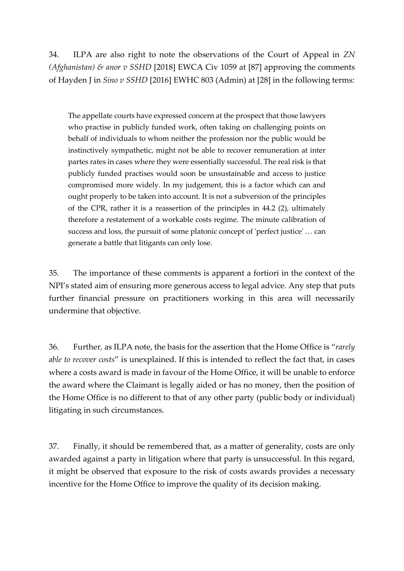34. ILPA are also right to note the observations of the Court of Appeal in *ZN (Afghanistan) & anor v SSHD* [2018] EWCA Civ 1059 at [87] approving the comments of Hayden J in *Sino v SSHD* [2016] EWHC 803 (Admin) at [28] in the following terms:

The appellate courts have expressed concern at the prospect that those lawyers who practise in publicly funded work, often taking on challenging points on behalf of individuals to whom neither the profession nor the public would be instinctively sympathetic, might not be able to recover remuneration at inter partes rates in cases where they were essentially successful. The real risk is that publicly funded practises would soon be unsustainable and access to justice compromised more widely. In my judgement, this is a factor which can and ought properly to be taken into account. It is not a subversion of the principles of the CPR, rather it is a reassertion of the principles in 44.2 (2), ultimately therefore a restatement of a workable costs regime. The minute calibration of success and loss, the pursuit of some platonic concept of 'perfect justice' … can generate a battle that litigants can only lose.

35. The importance of these comments is apparent a fortiori in the context of the NPI's stated aim of ensuring more generous access to legal advice. Any step that puts further financial pressure on practitioners working in this area will necessarily undermine that objective.

36. Further, as ILPA note, the basis for the assertion that the Home Office is "*rarely able to recover costs*" is unexplained. If this is intended to reflect the fact that, in cases where a costs award is made in favour of the Home Office, it will be unable to enforce the award where the Claimant is legally aided or has no money, then the position of the Home Office is no different to that of any other party (public body or individual) litigating in such circumstances.

37. Finally, it should be remembered that, as a matter of generality, costs are only awarded against a party in litigation where that party is unsuccessful. In this regard, it might be observed that exposure to the risk of costs awards provides a necessary incentive for the Home Office to improve the quality of its decision making.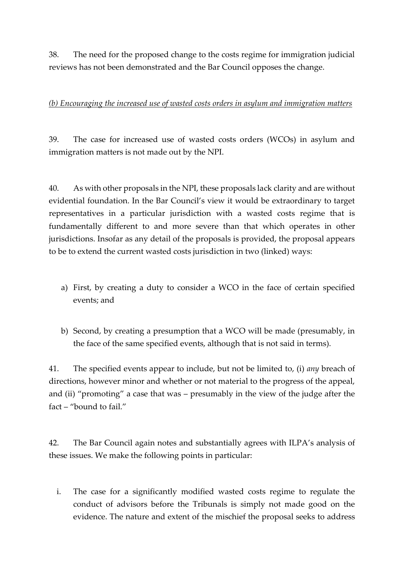38. The need for the proposed change to the costs regime for immigration judicial reviews has not been demonstrated and the Bar Council opposes the change.

### *(b) Encouraging the increased use of wasted costs orders in asylum and immigration matters*

39. The case for increased use of wasted costs orders (WCOs) in asylum and immigration matters is not made out by the NPI.

40. As with other proposals in the NPI, these proposals lack clarity and are without evidential foundation. In the Bar Council's view it would be extraordinary to target representatives in a particular jurisdiction with a wasted costs regime that is fundamentally different to and more severe than that which operates in other jurisdictions. Insofar as any detail of the proposals is provided, the proposal appears to be to extend the current wasted costs jurisdiction in two (linked) ways:

- a) First, by creating a duty to consider a WCO in the face of certain specified events; and
- b) Second, by creating a presumption that a WCO will be made (presumably, in the face of the same specified events, although that is not said in terms).

41. The specified events appear to include, but not be limited to, (i) *any* breach of directions, however minor and whether or not material to the progress of the appeal, and (ii) "promoting" a case that was – presumably in the view of the judge after the fact – "bound to fail."

42. The Bar Council again notes and substantially agrees with ILPA's analysis of these issues. We make the following points in particular:

i. The case for a significantly modified wasted costs regime to regulate the conduct of advisors before the Tribunals is simply not made good on the evidence. The nature and extent of the mischief the proposal seeks to address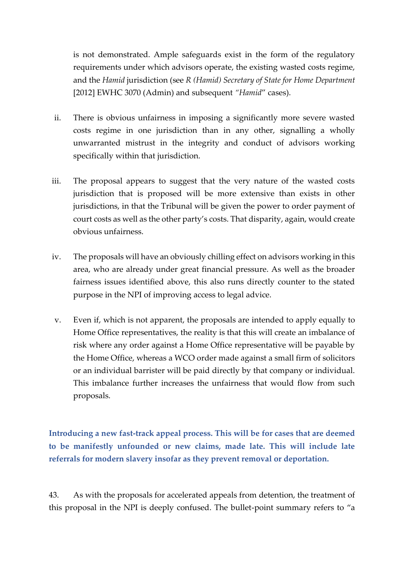is not demonstrated. Ample safeguards exist in the form of the regulatory requirements under which advisors operate, the existing wasted costs regime, and the *Hamid* jurisdiction (see *R (Hamid) Secretary of State for Home Department* [2012] EWHC 3070 (Admin) and subsequent *"Hamid*" cases).

- ii. There is obvious unfairness in imposing a significantly more severe wasted costs regime in one jurisdiction than in any other, signalling a wholly unwarranted mistrust in the integrity and conduct of advisors working specifically within that jurisdiction.
- iii. The proposal appears to suggest that the very nature of the wasted costs jurisdiction that is proposed will be more extensive than exists in other jurisdictions, in that the Tribunal will be given the power to order payment of court costs as well as the other party's costs. That disparity, again, would create obvious unfairness.
- iv. The proposals will have an obviously chilling effect on advisors working in this area, who are already under great financial pressure. As well as the broader fairness issues identified above, this also runs directly counter to the stated purpose in the NPI of improving access to legal advice.
- v. Even if, which is not apparent, the proposals are intended to apply equally to Home Office representatives, the reality is that this will create an imbalance of risk where any order against a Home Office representative will be payable by the Home Office, whereas a WCO order made against a small firm of solicitors or an individual barrister will be paid directly by that company or individual. This imbalance further increases the unfairness that would flow from such proposals.

**Introducing a new fast-track appeal process. This will be for cases that are deemed to be manifestly unfounded or new claims, made late. This will include late referrals for modern slavery insofar as they prevent removal or deportation.**

43. As with the proposals for accelerated appeals from detention, the treatment of this proposal in the NPI is deeply confused. The bullet-point summary refers to "a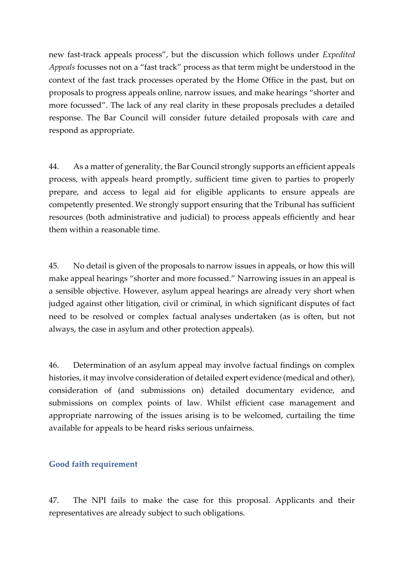new fast-track appeals process", but the discussion which follows under *Expedited Appeals* focusses not on a "fast track" process as that term might be understood in the context of the fast track processes operated by the Home Office in the past, but on proposals to progress appeals online, narrow issues, and make hearings "shorter and more focussed". The lack of any real clarity in these proposals precludes a detailed response. The Bar Council will consider future detailed proposals with care and respond as appropriate.

44. As a matter of generality, the Bar Council strongly supports an efficient appeals process, with appeals heard promptly, sufficient time given to parties to properly prepare, and access to legal aid for eligible applicants to ensure appeals are competently presented. We strongly support ensuring that the Tribunal has sufficient resources (both administrative and judicial) to process appeals efficiently and hear them within a reasonable time.

45. No detail is given of the proposals to narrow issues in appeals, or how this will make appeal hearings "shorter and more focussed." Narrowing issues in an appeal is a sensible objective. However, asylum appeal hearings are already very short when judged against other litigation, civil or criminal, in which significant disputes of fact need to be resolved or complex factual analyses undertaken (as is often, but not always, the case in asylum and other protection appeals).

46. Determination of an asylum appeal may involve factual findings on complex histories, it may involve consideration of detailed expert evidence (medical and other), consideration of (and submissions on) detailed documentary evidence, and submissions on complex points of law. Whilst efficient case management and appropriate narrowing of the issues arising is to be welcomed, curtailing the time available for appeals to be heard risks serious unfairness.

#### **Good faith requirement**

47. The NPI fails to make the case for this proposal. Applicants and their representatives are already subject to such obligations.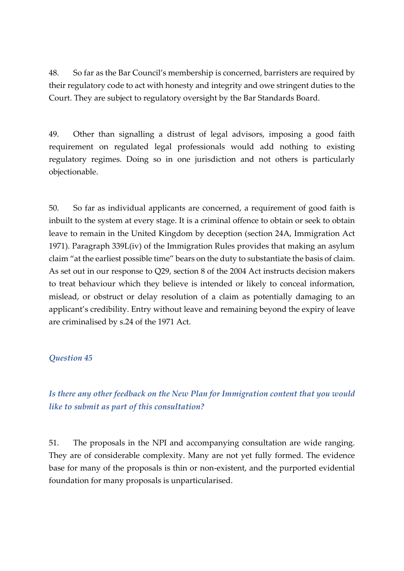48. So far as the Bar Council's membership is concerned, barristers are required by their regulatory code to act with honesty and integrity and owe stringent duties to the Court. They are subject to regulatory oversight by the Bar Standards Board.

49. Other than signalling a distrust of legal advisors, imposing a good faith requirement on regulated legal professionals would add nothing to existing regulatory regimes. Doing so in one jurisdiction and not others is particularly objectionable.

50. So far as individual applicants are concerned, a requirement of good faith is inbuilt to the system at every stage. It is a criminal offence to obtain or seek to obtain leave to remain in the United Kingdom by deception (section 24A, Immigration Act 1971). Paragraph 339L(iv) of the Immigration Rules provides that making an asylum claim "at the earliest possible time" bears on the duty to substantiate the basis of claim. As set out in our response to Q29, section 8 of the 2004 Act instructs decision makers to treat behaviour which they believe is intended or likely to conceal information, mislead, or obstruct or delay resolution of a claim as potentially damaging to an applicant's credibility. Entry without leave and remaining beyond the expiry of leave are criminalised by s.24 of the 1971 Act.

### *Question 45*

*Is there any other feedback on the New Plan for Immigration content that you would like to submit as part of this consultation?*

51. The proposals in the NPI and accompanying consultation are wide ranging. They are of considerable complexity. Many are not yet fully formed. The evidence base for many of the proposals is thin or non-existent, and the purported evidential foundation for many proposals is unparticularised.